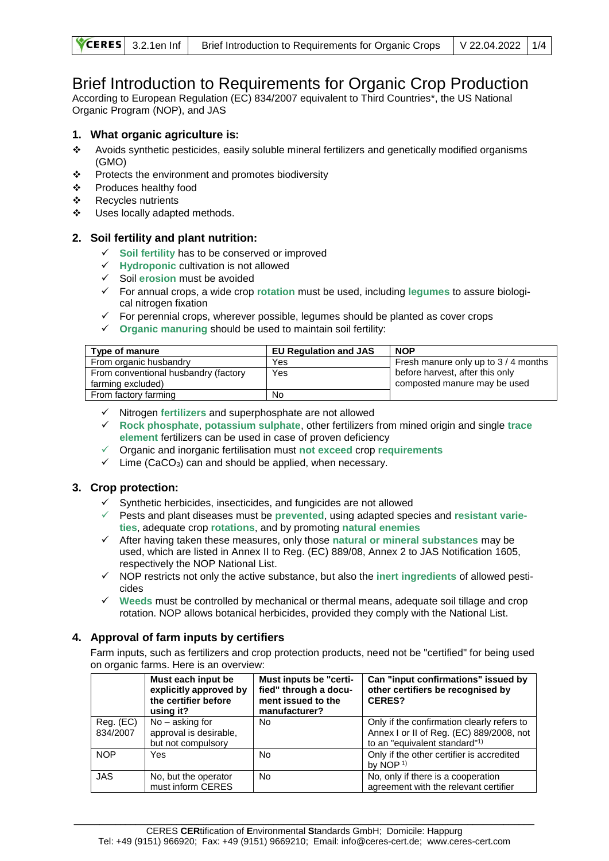# Brief Introduction to Requirements for Organic Crop Production

According to European Regulation (EC) 834/2007 equivalent to Third Countries\*, the US National Organic Program (NOP), and JAS

## **1. What organic agriculture is:**

- ❖ Avoids synthetic pesticides, easily soluble mineral fertilizers and genetically modified organisms (GMO)
- ❖ Protects the environment and promotes biodiversity
- ❖ Produces healthy food
- ❖ Recycles nutrients
- ❖ Uses locally adapted methods.

## **2. Soil fertility and plant nutrition:**

- ✓ **Soil fertility** has to be conserved or improved
- ✓ **Hydroponic** cultivation is not allowed
- ✓ Soil **erosion** must be avoided
- ✓ For annual crops, a wide crop **rotation** must be used, including **legumes** to assure biological nitrogen fixation
- ✓ For perennial crops, wherever possible, legumes should be planted as cover crops
- ✓ **Organic manuring** should be used to maintain soil fertility:

| Type of manure                       | <b>EU Requlation and JAS</b> | <b>NOP</b>                         |
|--------------------------------------|------------------------------|------------------------------------|
| From organic husbandry               | Yes                          | Fresh manure only up to 3/4 months |
| From conventional husbandry (factory | Yes                          | before harvest, after this only    |
| farming excluded)                    |                              | composted manure may be used       |
| From factory farming                 | No                           |                                    |

- ✓ Nitrogen **fertilizers** and superphosphate are not allowed
- ✓ **Rock phosphate**, **potassium sulphate**, other fertilizers from mined origin and single **trace element** fertilizers can be used in case of proven deficiency
- ✓ Organic and inorganic fertilisation must **not exceed** crop **requirements**
- $\checkmark$  Lime (CaCO<sub>3</sub>) can and should be applied, when necessary.

## **3. Crop protection:**

- ✓ Synthetic herbicides, insecticides, and fungicides are not allowed
- ✓ Pests and plant diseases must be **prevented**, using adapted species and **resistant varieties**, adequate crop **rotations**, and by promoting **natural enemies**
- ✓ After having taken these measures, only those **natural or mineral substances** may be used, which are listed in Annex II to Reg. (EC) 889/08, Annex 2 to JAS Notification 1605, respectively the NOP National List.
- ✓ NOP restricts not only the active substance, but also the **inert ingredients** of allowed pesticides
- ✓ **Weeds** must be controlled by mechanical or thermal means, adequate soil tillage and crop rotation. NOP allows botanical herbicides, provided they comply with the National List.

## **4. Approval of farm inputs by certifiers**

Farm inputs, such as fertilizers and crop protection products, need not be "certified" for being used on organic farms. Here is an overview:

|                       | Must each input be<br>explicitly approved by<br>the certifier before<br>using it? | Must inputs be "certi-<br>fied" through a docu-<br>ment issued to the<br>manufacturer? | Can "input confirmations" issued by<br>other certifiers be recognised by<br>CERES?                                                  |
|-----------------------|-----------------------------------------------------------------------------------|----------------------------------------------------------------------------------------|-------------------------------------------------------------------------------------------------------------------------------------|
| Reg. (EC)<br>834/2007 | $No - asking for$<br>approval is desirable,<br>but not compulsory                 | No                                                                                     | Only if the confirmation clearly refers to<br>Annex I or II of Reg. (EC) 889/2008, not<br>to an "equivalent standard" <sup>1)</sup> |
| <b>NOP</b>            | Yes                                                                               | N <sub>0</sub>                                                                         | Only if the other certifier is accredited<br>by NOP $1$                                                                             |
| <b>JAS</b>            | No, but the operator<br>must inform CERES                                         | No                                                                                     | No, only if there is a cooperation<br>agreement with the relevant certifier                                                         |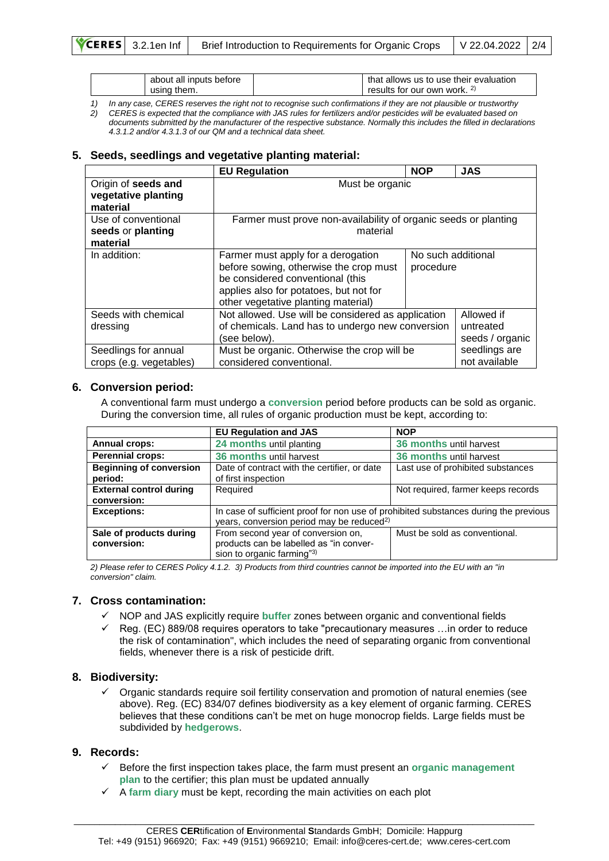| about all inputs before | that allows us to use their evaluation |
|-------------------------|----------------------------------------|
| usina them.             | results for our own work. 2)           |

*1) In any case, CERES reserves the right not to recognise such confirmations if they are not plausible or trustworthy 2) CERES is expected that the compliance with JAS rules for fertilizers and/or pesticides will be evaluated based on documents submitted by the manufacturer of the respective substance. Normally this includes the filled in declarations* 

*4.3.1.2 and/or 4.3.1.3 of our QM and a technical data sheet.* 

## **5. Seeds, seedlings and vegetative planting material:**

|                                                        | <b>EU Regulation</b>                                                                                                                                                                              | <b>NOP</b>                      | <b>JAS</b>                                 |
|--------------------------------------------------------|---------------------------------------------------------------------------------------------------------------------------------------------------------------------------------------------------|---------------------------------|--------------------------------------------|
| Origin of seeds and<br>vegetative planting<br>material | Must be organic                                                                                                                                                                                   |                                 |                                            |
| Use of conventional<br>seeds or planting<br>material   | Farmer must prove non-availability of organic seeds or planting<br>material                                                                                                                       |                                 |                                            |
| In addition:                                           | Farmer must apply for a derogation<br>before sowing, otherwise the crop must<br>be considered conventional (this<br>applies also for potatoes, but not for<br>other vegetative planting material) | No such additional<br>procedure |                                            |
| Seeds with chemical<br>dressing                        | Not allowed. Use will be considered as application<br>of chemicals. Land has to undergo new conversion<br>(see below).                                                                            |                                 | Allowed if<br>untreated<br>seeds / organic |
| Seedlings for annual<br>crops (e.g. vegetables)        | Must be organic. Otherwise the crop will be<br>considered conventional.                                                                                                                           |                                 | seedlings are<br>not available             |

## **6. Conversion period:**

A conventional farm must undergo a **conversion** period before products can be sold as organic. During the conversion time, all rules of organic production must be kept, according to:

|                                | <b>EU Regulation and JAS</b>                                                         | <b>NOP</b>                         |  |
|--------------------------------|--------------------------------------------------------------------------------------|------------------------------------|--|
| <b>Annual crops:</b>           | 24 months until planting                                                             | 36 months until harvest            |  |
| <b>Perennial crops:</b>        | 36 months until harvest                                                              | 36 months until harvest            |  |
| <b>Beginning of conversion</b> | Date of contract with the certifier, or date                                         | Last use of prohibited substances  |  |
| period:                        | of first inspection                                                                  |                                    |  |
| <b>External control during</b> | Required                                                                             | Not required, farmer keeps records |  |
| conversion:                    |                                                                                      |                                    |  |
| <b>Exceptions:</b>             | In case of sufficient proof for non use of prohibited substances during the previous |                                    |  |
|                                | years, conversion period may be reduced <sup>2)</sup>                                |                                    |  |
| Sale of products during        | From second year of conversion on,                                                   | Must be sold as conventional.      |  |
| conversion:                    | products can be labelled as "in conver-                                              |                                    |  |
|                                | sion to organic farming"3)                                                           |                                    |  |

*2) Please refer to CERES Policy 4.1.2. 3) Products from third countries cannot be imported into the EU with an "in conversion" claim.*

#### **7. Cross contamination:**

- ✓ NOP and JAS explicitly require **buffer** zones between organic and conventional fields
- $\checkmark$  Reg. (EC) 889/08 requires operators to take "precautionary measures ... in order to reduce the risk of contamination", which includes the need of separating organic from conventional fields, whenever there is a risk of pesticide drift.

#### **8. Biodiversity:**

✓ Organic standards require soil fertility conservation and promotion of natural enemies (see above). Reg. (EC) 834/07 defines biodiversity as a key element of organic farming. CERES believes that these conditions can't be met on huge monocrop fields. Large fields must be subdivided by **hedgerows**.

#### **9. Records:**

- ✓ Before the first inspection takes place, the farm must present an **organic management plan** to the certifier; this plan must be updated annually
- ✓ A **farm diary** must be kept, recording the main activities on each plot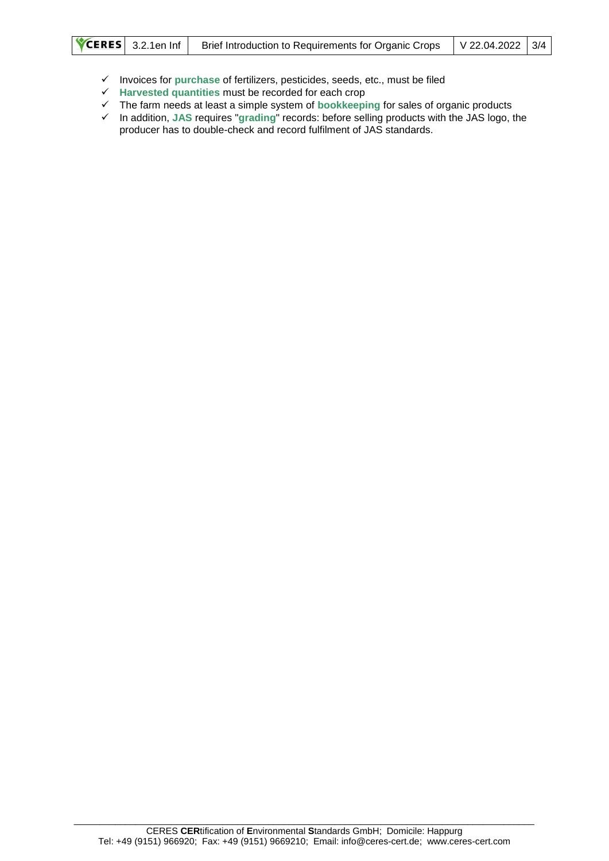- ✓ Invoices for **purchase** of fertilizers, pesticides, seeds, etc., must be filed
- ✓ **Harvested quantities** must be recorded for each crop
- ✓ The farm needs at least a simple system of **bookkeeping** for sales of organic products
- ✓ In addition, **JAS** requires "**grading**" records: before selling products with the JAS logo, the producer has to double-check and record fulfilment of JAS standards.